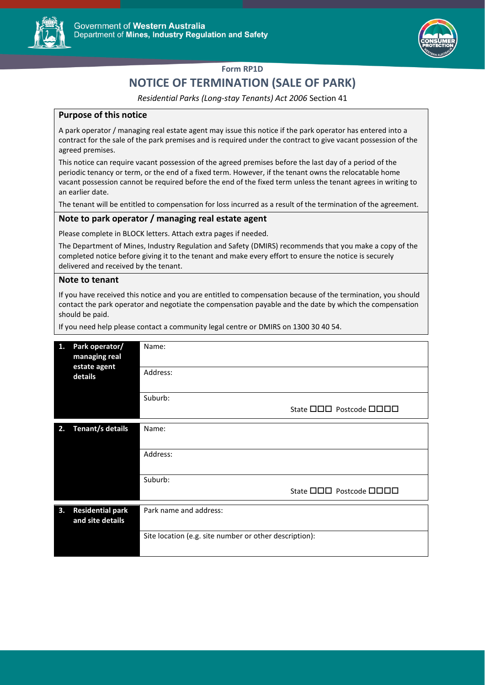



## **Form RP1D**

# **NOTICE OF TERMINATION (SALE OF PARK)**

*Residential Parks (Long-stay Tenants) Act 2006* Section 41

#### **Purpose of this notice**

A park operator / managing real estate agent may issue this notice if the park operator has entered into a contract for the sale of the park premises and is required under the contract to give vacant possession of the agreed premises.

This notice can require vacant possession of the agreed premises before the last day of a period of the periodic tenancy or term, or the end of a fixed term. However, if the tenant owns the relocatable home vacant possession cannot be required before the end of the fixed term unless the tenant agrees in writing to an earlier date.

The tenant will be entitled to compensation for loss incurred as a result of the termination of the agreement.

### **Note to park operator / managing real estate agent**

Please complete in BLOCK letters. Attach extra pages if needed.

The Department of Mines, Industry Regulation and Safety (DMIRS) recommends that you make a copy of the completed notice before giving it to the tenant and make every effort to ensure the notice is securely delivered and received by the tenant.

#### **Note to tenant**

If you have received this notice and you are entitled to compensation because of the termination, you should contact the park operator and negotiate the compensation payable and the date by which the compensation should be paid.

If you need help please contact a community legal centre or DMIRS on 1300 30 40 54.

| 1. | Park operator/<br>managing real<br>estate agent<br>details | Name:                                                  |
|----|------------------------------------------------------------|--------------------------------------------------------|
|    |                                                            | Address:                                               |
|    |                                                            | Suburb:                                                |
|    |                                                            | State 000 Postcode 0000                                |
| 2. | <b>Tenant/s details</b>                                    | Name:                                                  |
|    |                                                            | Address:                                               |
|    |                                                            | Suburb:                                                |
|    |                                                            | State <b>OOO</b> Postcode <b>OOOO</b>                  |
| 3. | <b>Residential park</b><br>and site details                | Park name and address:                                 |
|    |                                                            | Site location (e.g. site number or other description): |